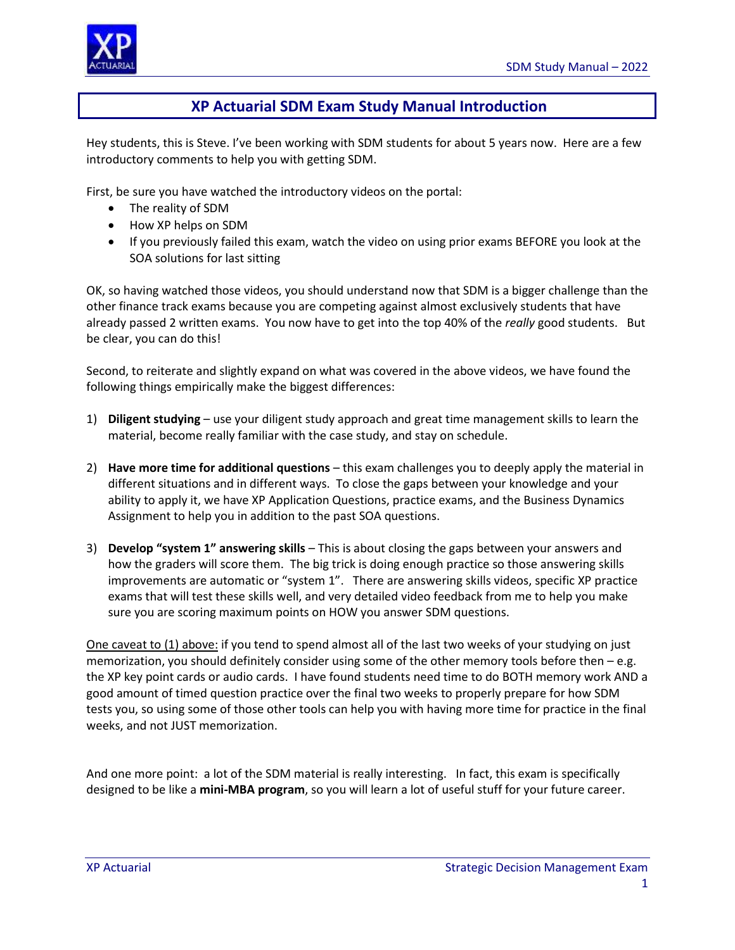

# **XP Actuarial SDM Exam Study Manual Introduction**

Hey students, this is Steve. I've been working with SDM students for about 5 years now. Here are a few introductory comments to help you with getting SDM.

First, be sure you have watched the introductory videos on the portal:

- The reality of SDM
- How XP helps on SDM
- If you previously failed this exam, watch the video on using prior exams BEFORE you look at the SOA solutions for last sitting

OK, so having watched those videos, you should understand now that SDM is a bigger challenge than the other finance track exams because you are competing against almost exclusively students that have already passed 2 written exams. You now have to get into the top 40% of the *really* good students. But be clear, you can do this!

Second, to reiterate and slightly expand on what was covered in the above videos, we have found the following things empirically make the biggest differences:

- 1) **Diligent studying** use your diligent study approach and great time management skills to learn the material, become really familiar with the case study, and stay on schedule.
- 2) **Have more time for additional questions** this exam challenges you to deeply apply the material in different situations and in different ways. To close the gaps between your knowledge and your ability to apply it, we have XP Application Questions, practice exams, and the Business Dynamics Assignment to help you in addition to the past SOA questions.
- 3) **Develop "system 1" answering skills** This is about closing the gaps between your answers and how the graders will score them. The big trick is doing enough practice so those answering skills improvements are automatic or "system 1". There are answering skills videos, specific XP practice exams that will test these skills well, and very detailed video feedback from me to help you make sure you are scoring maximum points on HOW you answer SDM questions.

One caveat to (1) above: if you tend to spend almost all of the last two weeks of your studying on just memorization, you should definitely consider using some of the other memory tools before then – e.g. the XP key point cards or audio cards. I have found students need time to do BOTH memory work AND a good amount of timed question practice over the final two weeks to properly prepare for how SDM tests you, so using some of those other tools can help you with having more time for practice in the final weeks, and not JUST memorization.

And one more point: a lot of the SDM material is really interesting. In fact, this exam is specifically designed to be like a **mini-MBA program**, so you will learn a lot of useful stuff for your future career.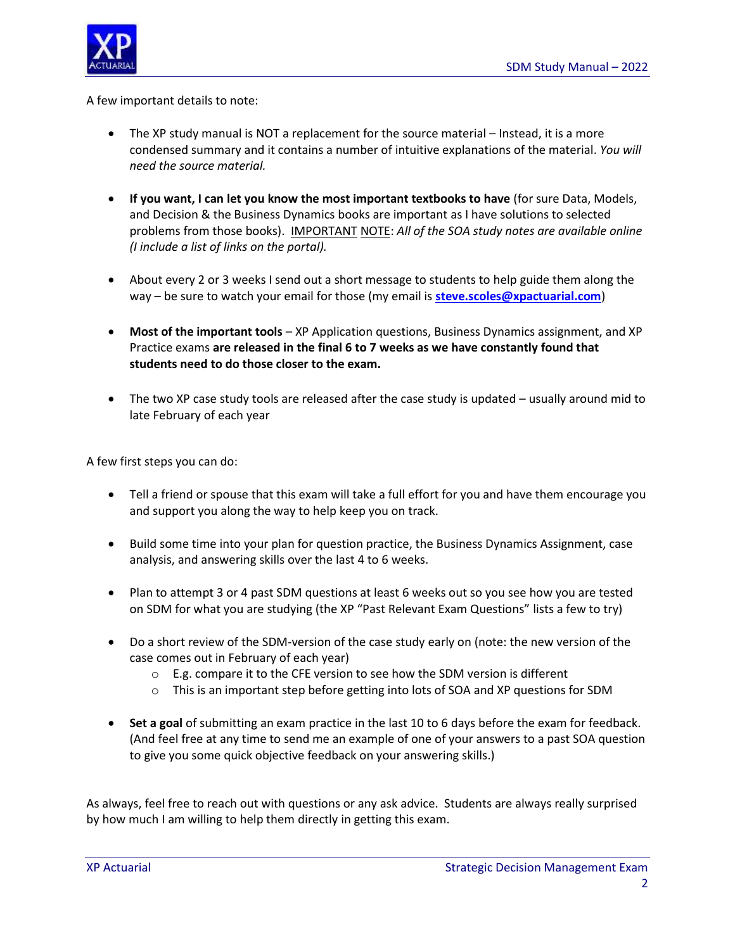

A few important details to note:

- The XP study manual is NOT a replacement for the source material Instead, it is a more condensed summary and it contains a number of intuitive explanations of the material. *You will need the source material.*
- **If you want, I can let you know the most important textbooks to have** (for sure Data, Models, and Decision & the Business Dynamics books are important as I have solutions to selected problems from those books). IMPORTANT NOTE: *All of the SOA study notes are available online (I include a list of links on the portal).*
- About every 2 or 3 weeks I send out a short message to students to help guide them along the way – be sure to watch your email for those (my email is **[steve.scoles@xpactuarial.com](mailto:steve.scoles@xpactuarial.com)**)
- **Most of the important tools** XP Application questions, Business Dynamics assignment, and XP Practice exams **are released in the final 6 to 7 weeks as we have constantly found that students need to do those closer to the exam.**
- The two XP case study tools are released after the case study is updated usually around mid to late February of each year

A few first steps you can do:

- Tell a friend or spouse that this exam will take a full effort for you and have them encourage you and support you along the way to help keep you on track.
- Build some time into your plan for question practice, the Business Dynamics Assignment, case analysis, and answering skills over the last 4 to 6 weeks.
- Plan to attempt 3 or 4 past SDM questions at least 6 weeks out so you see how you are tested on SDM for what you are studying (the XP "Past Relevant Exam Questions" lists a few to try)
- Do a short review of the SDM-version of the case study early on (note: the new version of the case comes out in February of each year)
	- o E.g. compare it to the CFE version to see how the SDM version is different
	- $\circ$  This is an important step before getting into lots of SOA and XP questions for SDM
- **Set a goal** of submitting an exam practice in the last 10 to 6 days before the exam for feedback. (And feel free at any time to send me an example of one of your answers to a past SOA question to give you some quick objective feedback on your answering skills.)

As always, feel free to reach out with questions or any ask advice. Students are always really surprised by how much I am willing to help them directly in getting this exam.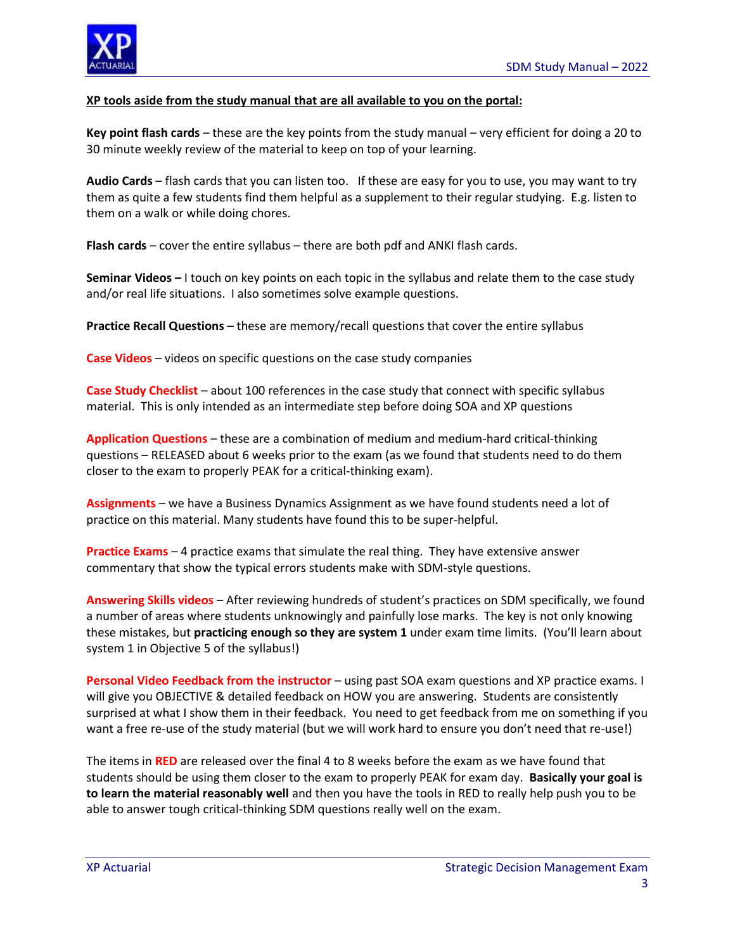

#### **XP tools aside from the study manual that are all available to you on the portal:**

**Key point flash cards** – these are the key points from the study manual – very efficient for doing a 20 to 30 minute weekly review of the material to keep on top of your learning.

**Audio Cards** – flash cards that you can listen too. If these are easy for you to use, you may want to try them as quite a few students find them helpful as a supplement to their regular studying. E.g. listen to them on a walk or while doing chores.

**Flash cards** – cover the entire syllabus – there are both pdf and ANKI flash cards.

**Seminar Videos –** I touch on key points on each topic in the syllabus and relate them to the case study and/or real life situations. I also sometimes solve example questions.

**Practice Recall Questions** – these are memory/recall questions that cover the entire syllabus

**Case Videos** – videos on specific questions on the case study companies

**Case Study Checklist** – about 100 references in the case study that connect with specific syllabus material. This is only intended as an intermediate step before doing SOA and XP questions

**Application Questions** – these are a combination of medium and medium-hard critical-thinking questions – RELEASED about 6 weeks prior to the exam (as we found that students need to do them closer to the exam to properly PEAK for a critical-thinking exam).

**Assignments** – we have a Business Dynamics Assignment as we have found students need a lot of practice on this material. Many students have found this to be super-helpful.

**Practice Exams** – 4 practice exams that simulate the real thing. They have extensive answer commentary that show the typical errors students make with SDM-style questions.

**Answering Skills videos** – After reviewing hundreds of student's practices on SDM specifically, we found a number of areas where students unknowingly and painfully lose marks. The key is not only knowing these mistakes, but **practicing enough so they are system 1** under exam time limits. (You'll learn about system 1 in Objective 5 of the syllabus!)

**Personal Video Feedback from the instructor** – using past SOA exam questions and XP practice exams. I will give you OBJECTIVE & detailed feedback on HOW you are answering. Students are consistently surprised at what I show them in their feedback. You need to get feedback from me on something if you want a free re-use of the study material (but we will work hard to ensure you don't need that re-use!)

The items in **RED** are released over the final 4 to 8 weeks before the exam as we have found that students should be using them closer to the exam to properly PEAK for exam day. **Basically your goal is to learn the material reasonably well** and then you have the tools in RED to really help push you to be able to answer tough critical-thinking SDM questions really well on the exam.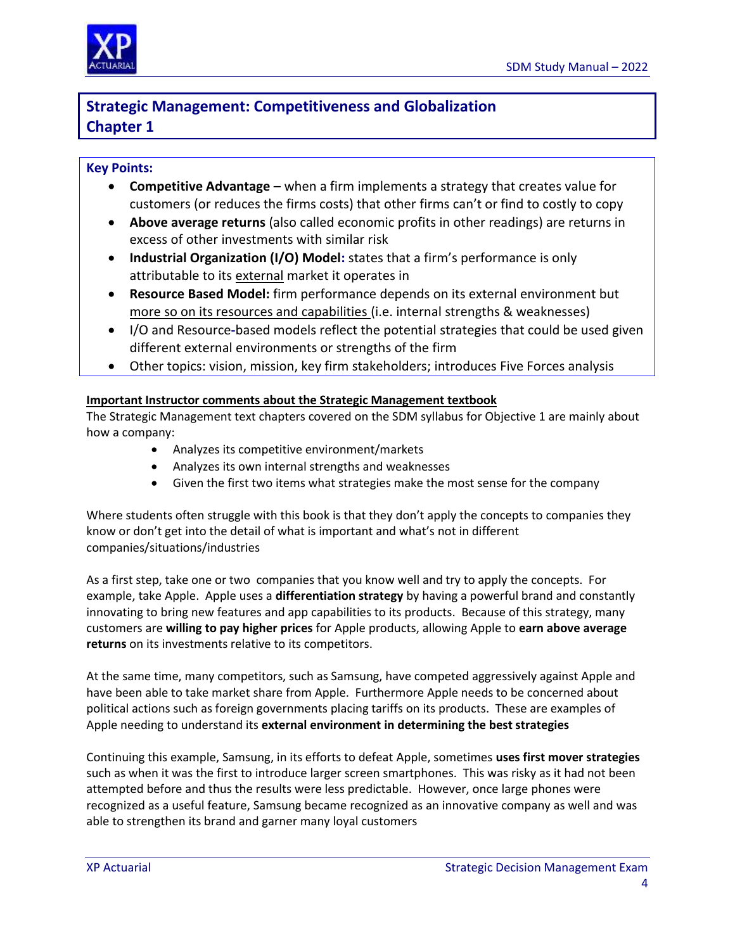

# **Strategic Management: Competitiveness and Globalization Chapter 1**

# **Key Points:**

- **Competitive Advantage** when a firm implements a strategy that creates value for customers (or reduces the firms costs) that other firms can't or find to costly to copy
- **Above average returns** (also called economic profits in other readings) are returns in excess of other investments with similar risk
- **Industrial Organization (I/O) Model:** states that a firm's performance is only attributable to its external market it operates in
- **Resource Based Model:** firm performance depends on its external environment but more so on its resources and capabilities (i.e. internal strengths & weaknesses)
- I/O and Resource**-**based models reflect the potential strategies that could be used given different external environments or strengths of the firm
- Other topics: vision, mission, key firm stakeholders; introduces Five Forces analysis

### **Important Instructor comments about the Strategic Management textbook**

The Strategic Management text chapters covered on the SDM syllabus for Objective 1 are mainly about how a company:

- Analyzes its competitive environment/markets
- Analyzes its own internal strengths and weaknesses
- Given the first two items what strategies make the most sense for the company

Where students often struggle with this book is that they don't apply the concepts to companies they know or don't get into the detail of what is important and what's not in different companies/situations/industries

As a first step, take one or two companies that you know well and try to apply the concepts. For example, take Apple. Apple uses a **differentiation strategy** by having a powerful brand and constantly innovating to bring new features and app capabilities to its products. Because of this strategy, many customers are **willing to pay higher prices** for Apple products, allowing Apple to **earn above average returns** on its investments relative to its competitors.

At the same time, many competitors, such as Samsung, have competed aggressively against Apple and have been able to take market share from Apple. Furthermore Apple needs to be concerned about political actions such as foreign governments placing tariffs on its products. These are examples of Apple needing to understand its **external environment in determining the best strategies**

Continuing this example, Samsung, in its efforts to defeat Apple, sometimes **uses first mover strategies** such as when it was the first to introduce larger screen smartphones. This was risky as it had not been attempted before and thus the results were less predictable. However, once large phones were recognized as a useful feature, Samsung became recognized as an innovative company as well and was able to strengthen its brand and garner many loyal customers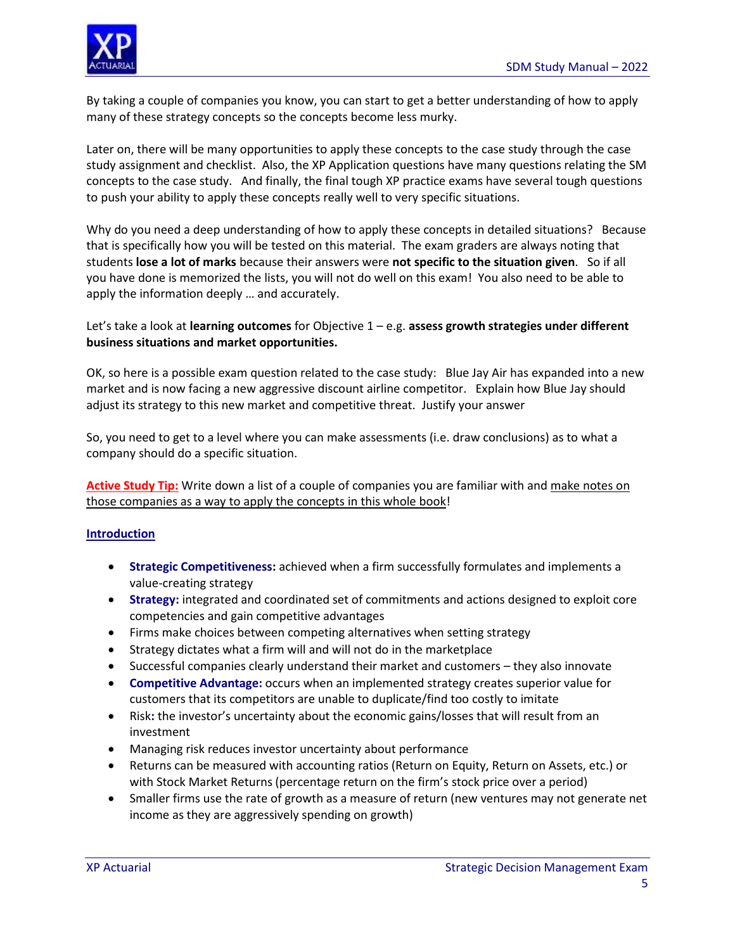

By taking a couple of companies you know, you can start to get a better understanding of how to apply many of these strategy concepts so the concepts become less murky.

Later on, there will be many opportunities to apply these concepts to the case study through the case study assignment and checklist. Also, the XP Application questions have many questions relating the SM concepts to the case study. And finally, the final tough XP practice exams have several tough questions to push your ability to apply these concepts really well to very specific situations.

Why do you need a deep understanding of how to apply these concepts in detailed situations? Because that is specifically how you will be tested on this material. The exam graders are always noting that students **lose a lot of marks** because their answers were **not specific to the situation given**. So if all you have done is memorized the lists, you will not do well on this exam! You also need to be able to apply the information deeply … and accurately.

### Let's take a look at **learning outcomes** for Objective 1 – e.g. **assess growth strategies under different business situations and market opportunities.**

OK, so here is a possible exam question related to the case study: Blue Jay Air has expanded into a new market and is now facing a new aggressive discount airline competitor. Explain how Blue Jay should adjust its strategy to this new market and competitive threat. Justify your answer

So, you need to get to a level where you can make assessments (i.e. draw conclusions) as to what a company should do a specific situation.

**Active Study Tip:** Write down a list of a couple of companies you are familiar with and make notes on those companies as a way to apply the concepts in this whole book!

### **Introduction**

- **Strategic Competitiveness:** achieved when a firm successfully formulates and implements a value-creating strategy
- **Strategy:** integrated and coordinated set of commitments and actions designed to exploit core competencies and gain competitive advantages
- Firms make choices between competing alternatives when setting strategy
- Strategy dictates what a firm will and will not do in the marketplace
- Successful companies clearly understand their market and customers they also innovate
- **Competitive Advantage:** occurs when an implemented strategy creates superior value for customers that its competitors are unable to duplicate/find too costly to imitate
- Risk**:** the investor's uncertainty about the economic gains/losses that will result from an investment
- Managing risk reduces investor uncertainty about performance
- Returns can be measured with accounting ratios (Return on Equity, Return on Assets, etc.) or with Stock Market Returns (percentage return on the firm's stock price over a period)
- Smaller firms use the rate of growth as a measure of return (new ventures may not generate net income as they are aggressively spending on growth)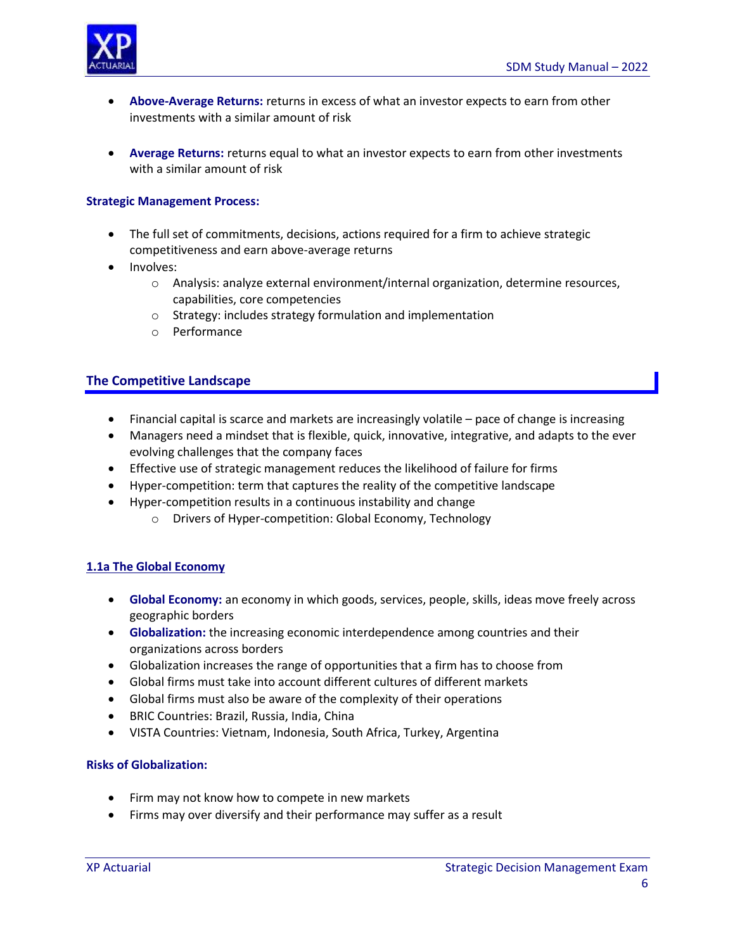

- **Above-Average Returns:** returns in excess of what an investor expects to earn from other investments with a similar amount of risk
- **Average Returns:** returns equal to what an investor expects to earn from other investments with a similar amount of risk

#### **Strategic Management Process:**

- The full set of commitments, decisions, actions required for a firm to achieve strategic competitiveness and earn above-average returns
- Involves:
	- o Analysis: analyze external environment/internal organization, determine resources, capabilities, core competencies
	- o Strategy: includes strategy formulation and implementation
	- o Performance

### **The Competitive Landscape**

- Financial capital is scarce and markets are increasingly volatile pace of change is increasing
- Managers need a mindset that is flexible, quick, innovative, integrative, and adapts to the ever evolving challenges that the company faces
- Effective use of strategic management reduces the likelihood of failure for firms
- Hyper-competition: term that captures the reality of the competitive landscape
- Hyper-competition results in a continuous instability and change
	- o Drivers of Hyper-competition: Global Economy, Technology

### **1.1a The Global Economy**

- **Global Economy:** an economy in which goods, services, people, skills, ideas move freely across geographic borders
- **Globalization:** the increasing economic interdependence among countries and their organizations across borders
- Globalization increases the range of opportunities that a firm has to choose from
- Global firms must take into account different cultures of different markets
- Global firms must also be aware of the complexity of their operations
- BRIC Countries: Brazil, Russia, India, China
- VISTA Countries: Vietnam, Indonesia, South Africa, Turkey, Argentina

#### **Risks of Globalization:**

- Firm may not know how to compete in new markets
- Firms may over diversify and their performance may suffer as a result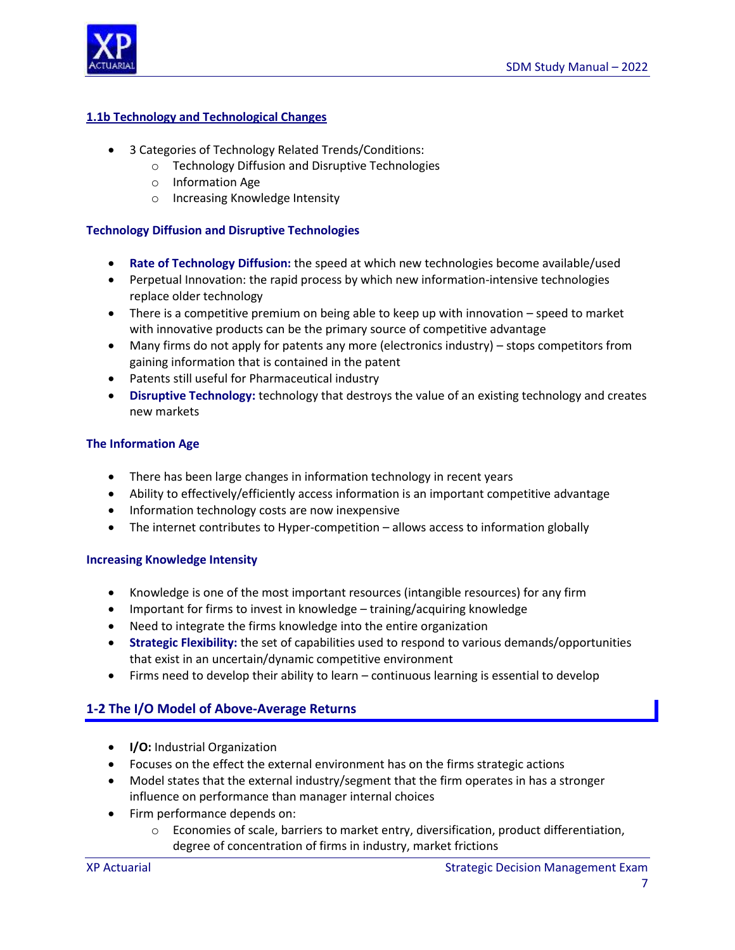

#### **1.1b Technology and Technological Changes**

- 3 Categories of Technology Related Trends/Conditions:
	- o Technology Diffusion and Disruptive Technologies
	- o Information Age
	- o Increasing Knowledge Intensity

#### **Technology Diffusion and Disruptive Technologies**

- **Rate of Technology Diffusion:** the speed at which new technologies become available/used
- Perpetual Innovation: the rapid process by which new information-intensive technologies replace older technology
- There is a competitive premium on being able to keep up with innovation speed to market with innovative products can be the primary source of competitive advantage
- Many firms do not apply for patents any more (electronics industry) stops competitors from gaining information that is contained in the patent
- Patents still useful for Pharmaceutical industry
- **Disruptive Technology:** technology that destroys the value of an existing technology and creates new markets

#### **The Information Age**

- There has been large changes in information technology in recent years
- Ability to effectively/efficiently access information is an important competitive advantage
- Information technology costs are now inexpensive
- The internet contributes to Hyper-competition allows access to information globally

#### **Increasing Knowledge Intensity**

- Knowledge is one of the most important resources (intangible resources) for any firm
- Important for firms to invest in knowledge training/acquiring knowledge
- Need to integrate the firms knowledge into the entire organization
- **Strategic Flexibility:** the set of capabilities used to respond to various demands/opportunities that exist in an uncertain/dynamic competitive environment
- Firms need to develop their ability to learn continuous learning is essential to develop

### **1-2 The I/O Model of Above-Average Returns**

- **I/O:** Industrial Organization
- Focuses on the effect the external environment has on the firms strategic actions
- Model states that the external industry/segment that the firm operates in has a stronger influence on performance than manager internal choices
- Firm performance depends on:
	- o Economies of scale, barriers to market entry, diversification, product differentiation, degree of concentration of firms in industry, market frictions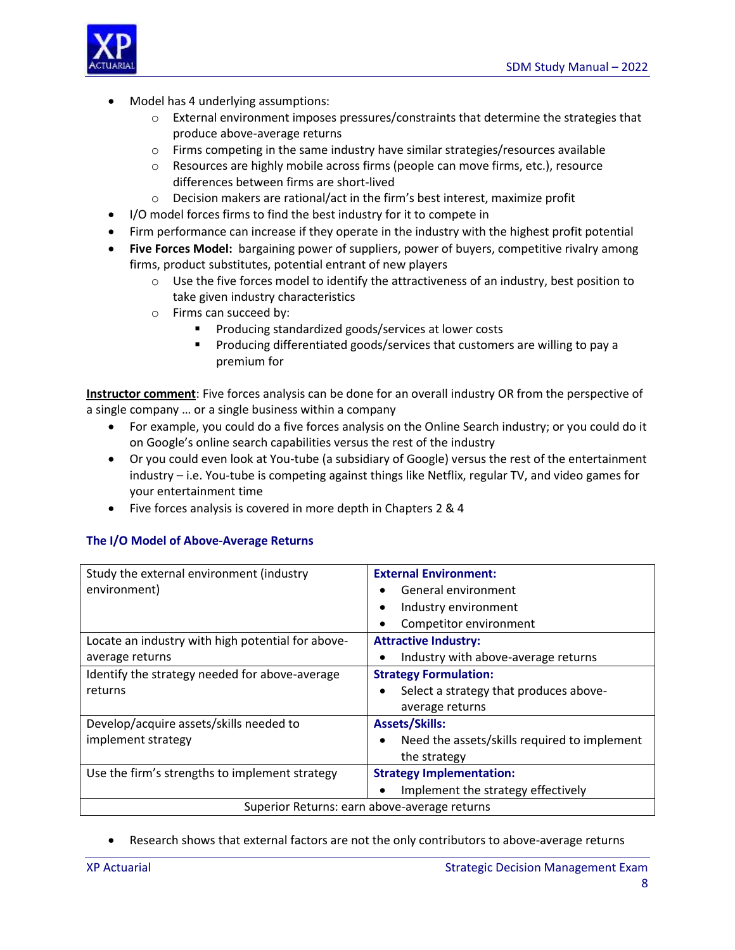

- Model has 4 underlying assumptions:
	- $\circ$  External environment imposes pressures/constraints that determine the strategies that produce above-average returns
	- $\circ$  Firms competing in the same industry have similar strategies/resources available
	- $\circ$  Resources are highly mobile across firms (people can move firms, etc.), resource differences between firms are short-lived
	- o Decision makers are rational/act in the firm's best interest, maximize profit
- I/O model forces firms to find the best industry for it to compete in
- Firm performance can increase if they operate in the industry with the highest profit potential
- **Five Forces Model:** bargaining power of suppliers, power of buyers, competitive rivalry among firms, product substitutes, potential entrant of new players
	- o Use the five forces model to identify the attractiveness of an industry, best position to take given industry characteristics
	- o Firms can succeed by:
		- Producing standardized goods/services at lower costs
		- Producing differentiated goods/services that customers are willing to pay a premium for

**Instructor comment**: Five forces analysis can be done for an overall industry OR from the perspective of a single company … or a single business within a company

- For example, you could do a five forces analysis on the Online Search industry; or you could do it on Google's online search capabilities versus the rest of the industry
- Or you could even look at You-tube (a subsidiary of Google) versus the rest of the entertainment industry – i.e. You-tube is competing against things like Netflix, regular TV, and video games for your entertainment time
- Five forces analysis is covered in more depth in Chapters 2 & 4

#### **The I/O Model of Above-Average Returns**

| Study the external environment (industry          | <b>External Environment:</b>                        |  |
|---------------------------------------------------|-----------------------------------------------------|--|
| environment)                                      | General environment                                 |  |
|                                                   | Industry environment<br>٠                           |  |
|                                                   | Competitor environment                              |  |
| Locate an industry with high potential for above- | <b>Attractive Industry:</b>                         |  |
| average returns                                   | Industry with above-average returns                 |  |
| Identify the strategy needed for above-average    | <b>Strategy Formulation:</b>                        |  |
| returns                                           | Select a strategy that produces above-<br>$\bullet$ |  |
|                                                   | average returns                                     |  |
| Develop/acquire assets/skills needed to           | <b>Assets/Skills:</b>                               |  |
| implement strategy                                | Need the assets/skills required to implement<br>٠   |  |
|                                                   | the strategy                                        |  |
| Use the firm's strengths to implement strategy    | <b>Strategy Implementation:</b>                     |  |
|                                                   | Implement the strategy effectively                  |  |
| Superior Returns: earn above-average returns      |                                                     |  |

#### Research shows that external factors are not the only contributors to above-average returns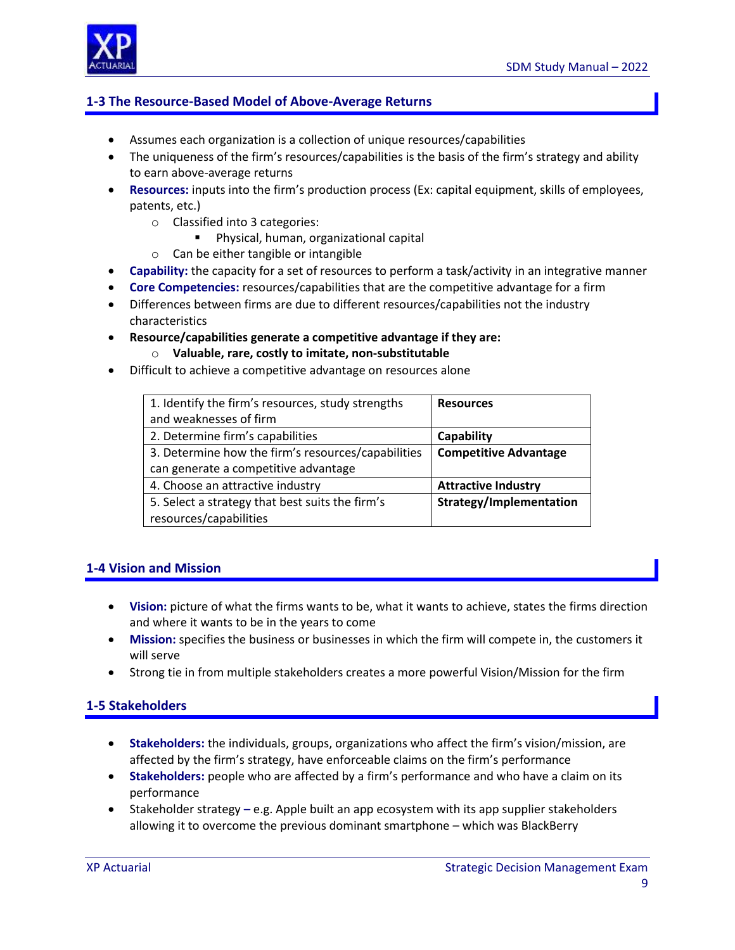

# **1-3 The Resource-Based Model of Above-Average Returns**

- Assumes each organization is a collection of unique resources/capabilities
- The uniqueness of the firm's resources/capabilities is the basis of the firm's strategy and ability to earn above-average returns
- **Resources:** inputs into the firm's production process (Ex: capital equipment, skills of employees, patents, etc.)
	- o Classified into 3 categories:
		- **Physical, human, organizational capital**
	- o Can be either tangible or intangible
- **Capability:** the capacity for a set of resources to perform a task/activity in an integrative manner
- **Core Competencies:** resources/capabilities that are the competitive advantage for a firm
- Differences between firms are due to different resources/capabilities not the industry characteristics
- **Resource/capabilities generate a competitive advantage if they are:** o **Valuable, rare, costly to imitate, non-substitutable**
- Difficult to achieve a competitive advantage on resources alone

| 1. Identify the firm's resources, study strengths  | <b>Resources</b>             |
|----------------------------------------------------|------------------------------|
| and weaknesses of firm                             |                              |
| 2. Determine firm's capabilities                   | Capability                   |
| 3. Determine how the firm's resources/capabilities | <b>Competitive Advantage</b> |
| can generate a competitive advantage               |                              |
| 4. Choose an attractive industry                   | <b>Attractive Industry</b>   |
| 5. Select a strategy that best suits the firm's    | Strategy/Implementation      |
| resources/capabilities                             |                              |

#### **1-4 Vision and Mission**

- **Vision:** picture of what the firms wants to be, what it wants to achieve, states the firms direction and where it wants to be in the years to come
- **Mission:** specifies the business or businesses in which the firm will compete in, the customers it will serve
- Strong tie in from multiple stakeholders creates a more powerful Vision/Mission for the firm

### **1-5 Stakeholders**

- **Stakeholders:** the individuals, groups, organizations who affect the firm's vision/mission, are affected by the firm's strategy, have enforceable claims on the firm's performance
- **Stakeholders:** people who are affected by a firm's performance and who have a claim on its performance
- Stakeholder strategy **–** e.g. Apple built an app ecosystem with its app supplier stakeholders allowing it to overcome the previous dominant smartphone – which was BlackBerry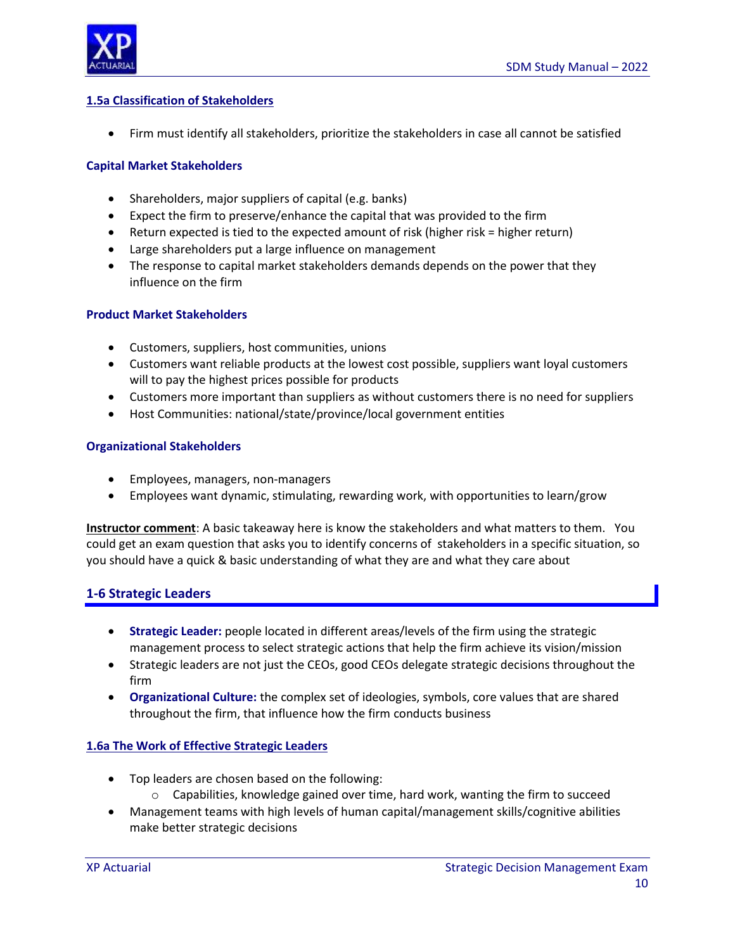

#### **1.5a Classification of Stakeholders**

Firm must identify all stakeholders, prioritize the stakeholders in case all cannot be satisfied

#### **Capital Market Stakeholders**

- Shareholders, major suppliers of capital (e.g. banks)
- Expect the firm to preserve/enhance the capital that was provided to the firm
- Return expected is tied to the expected amount of risk (higher risk = higher return)
- Large shareholders put a large influence on management
- The response to capital market stakeholders demands depends on the power that they influence on the firm

#### **Product Market Stakeholders**

- Customers, suppliers, host communities, unions
- Customers want reliable products at the lowest cost possible, suppliers want loyal customers will to pay the highest prices possible for products
- Customers more important than suppliers as without customers there is no need for suppliers
- Host Communities: national/state/province/local government entities

#### **Organizational Stakeholders**

- Employees, managers, non-managers
- Employees want dynamic, stimulating, rewarding work, with opportunities to learn/grow

**Instructor comment**: A basic takeaway here is know the stakeholders and what matters to them. You could get an exam question that asks you to identify concerns of stakeholders in a specific situation, so you should have a quick & basic understanding of what they are and what they care about

### **1-6 Strategic Leaders**

- **Strategic Leader:** people located in different areas/levels of the firm using the strategic management process to select strategic actions that help the firm achieve its vision/mission
- Strategic leaders are not just the CEOs, good CEOs delegate strategic decisions throughout the firm
- **Organizational Culture:** the complex set of ideologies, symbols, core values that are shared throughout the firm, that influence how the firm conducts business

### **1.6a The Work of Effective Strategic Leaders**

- Top leaders are chosen based on the following:
	- $\circ$  Capabilities, knowledge gained over time, hard work, wanting the firm to succeed
- Management teams with high levels of human capital/management skills/cognitive abilities make better strategic decisions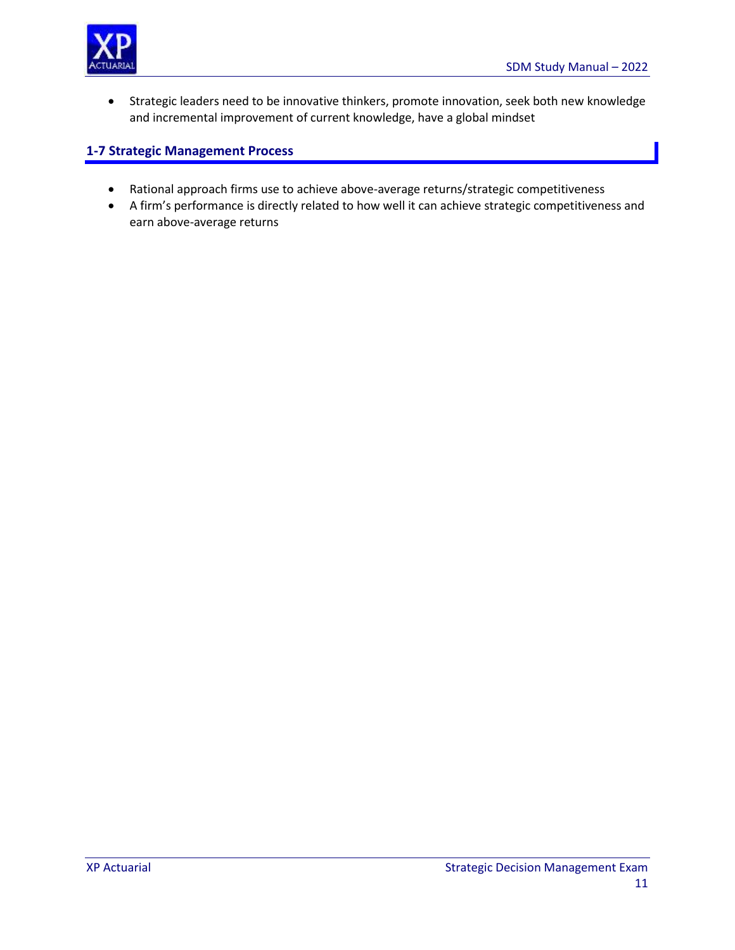

 Strategic leaders need to be innovative thinkers, promote innovation, seek both new knowledge and incremental improvement of current knowledge, have a global mindset

# **1-7 Strategic Management Process**

- Rational approach firms use to achieve above-average returns/strategic competitiveness
- A firm's performance is directly related to how well it can achieve strategic competitiveness and earn above-average returns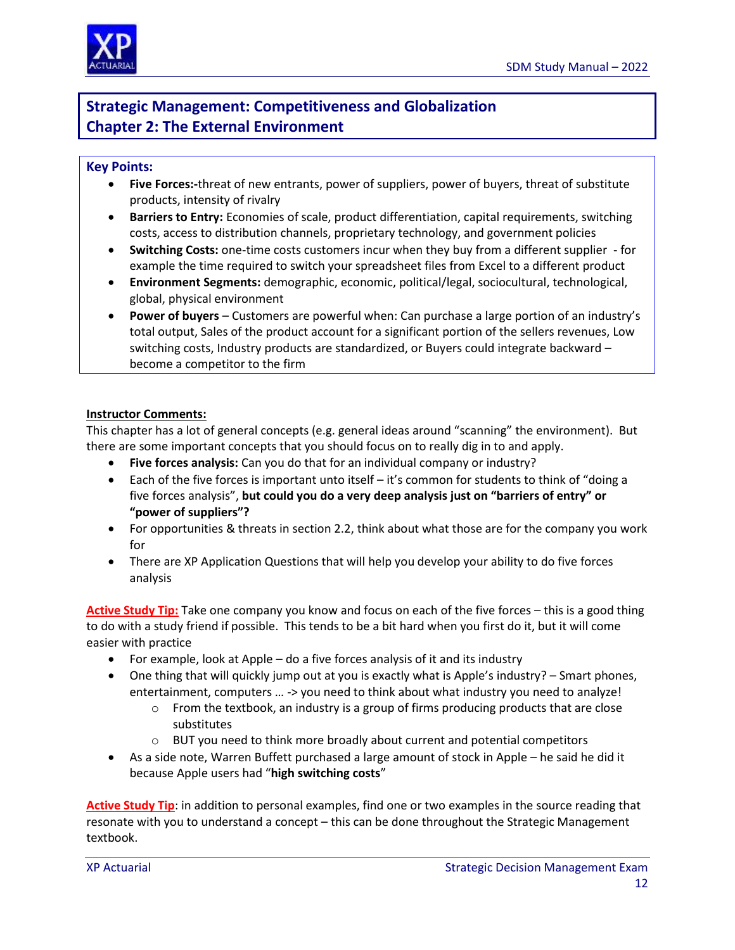

# **Strategic Management: Competitiveness and Globalization Chapter 2: The External Environment**

#### **Key Points:**

- **Five Forces:-**threat of new entrants, power of suppliers, power of buyers, threat of substitute products, intensity of rivalry
- **Barriers to Entry:** Economies of scale, product differentiation, capital requirements, switching costs, access to distribution channels, proprietary technology, and government policies
- **Switching Costs:** one-time costs customers incur when they buy from a different supplier for example the time required to switch your spreadsheet files from Excel to a different product
- **Environment Segments:** demographic, economic, political/legal, sociocultural, technological, global, physical environment
- **Power of buyers** Customers are powerful when: Can purchase a large portion of an industry's total output, Sales of the product account for a significant portion of the sellers revenues, Low switching costs, Industry products are standardized, or Buyers could integrate backward – become a competitor to the firm

#### **Instructor Comments:**

This chapter has a lot of general concepts (e.g. general ideas around "scanning" the environment). But there are some important concepts that you should focus on to really dig in to and apply.

- **Five forces analysis:** Can you do that for an individual company or industry?
- Each of the five forces is important unto itself it's common for students to think of "doing a five forces analysis", **but could you do a very deep analysis just on "barriers of entry" or "power of suppliers"?**
- For opportunities & threats in section 2.2, think about what those are for the company you work for
- There are XP Application Questions that will help you develop your ability to do five forces analysis

**Active Study Tip:** Take one company you know and focus on each of the five forces – this is a good thing to do with a study friend if possible. This tends to be a bit hard when you first do it, but it will come easier with practice

- For example, look at Apple do a five forces analysis of it and its industry
- One thing that will quickly jump out at you is exactly what is Apple's industry? Smart phones, entertainment, computers ... -> you need to think about what industry you need to analyze!
	- $\circ$  From the textbook, an industry is a group of firms producing products that are close substitutes
	- $\circ$  BUT you need to think more broadly about current and potential competitors
- As a side note, Warren Buffett purchased a large amount of stock in Apple he said he did it because Apple users had "**high switching costs**"

**Active Study Tip**: in addition to personal examples, find one or two examples in the source reading that resonate with you to understand a concept – this can be done throughout the Strategic Management textbook.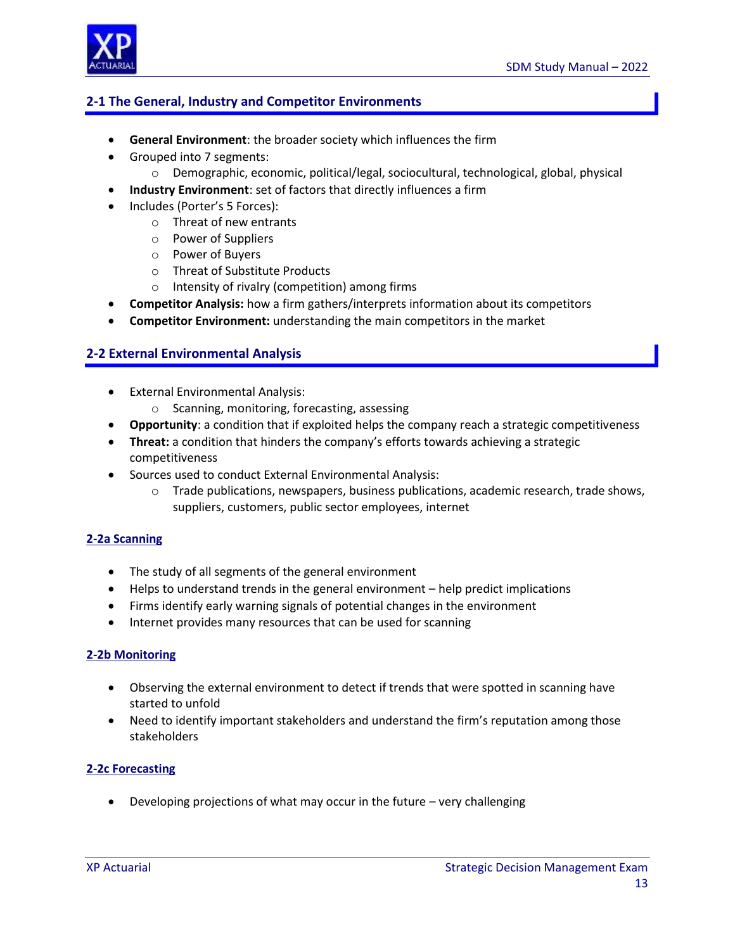

# **2-1 The General, Industry and Competitor Environments**

- **General Environment**: the broader society which influences the firm
- Grouped into 7 segments:
	- $\circ$  Demographic, economic, political/legal, sociocultural, technological, global, physical
- **Industry Environment**: set of factors that directly influences a firm
- Includes (Porter's 5 Forces):
	- o Threat of new entrants
	- o Power of Suppliers
	- o Power of Buyers
	- o Threat of Substitute Products
	- o Intensity of rivalry (competition) among firms
- **Competitor Analysis:** how a firm gathers/interprets information about its competitors
- **Competitor Environment:** understanding the main competitors in the market

### **2-2 External Environmental Analysis**

- External Environmental Analysis:
	- o Scanning, monitoring, forecasting, assessing
- **Opportunity**: a condition that if exploited helps the company reach a strategic competitiveness
- **Threat:** a condition that hinders the company's efforts towards achieving a strategic competitiveness
- Sources used to conduct External Environmental Analysis:
	- $\circ$  Trade publications, newspapers, business publications, academic research, trade shows, suppliers, customers, public sector employees, internet

#### **2-2a Scanning**

- The study of all segments of the general environment
- Helps to understand trends in the general environment help predict implications
- Firms identify early warning signals of potential changes in the environment
- Internet provides many resources that can be used for scanning

#### **2-2b Monitoring**

- Observing the external environment to detect if trends that were spotted in scanning have started to unfold
- Need to identify important stakeholders and understand the firm's reputation among those stakeholders

### **2-2c Forecasting**

Developing projections of what may occur in the future – very challenging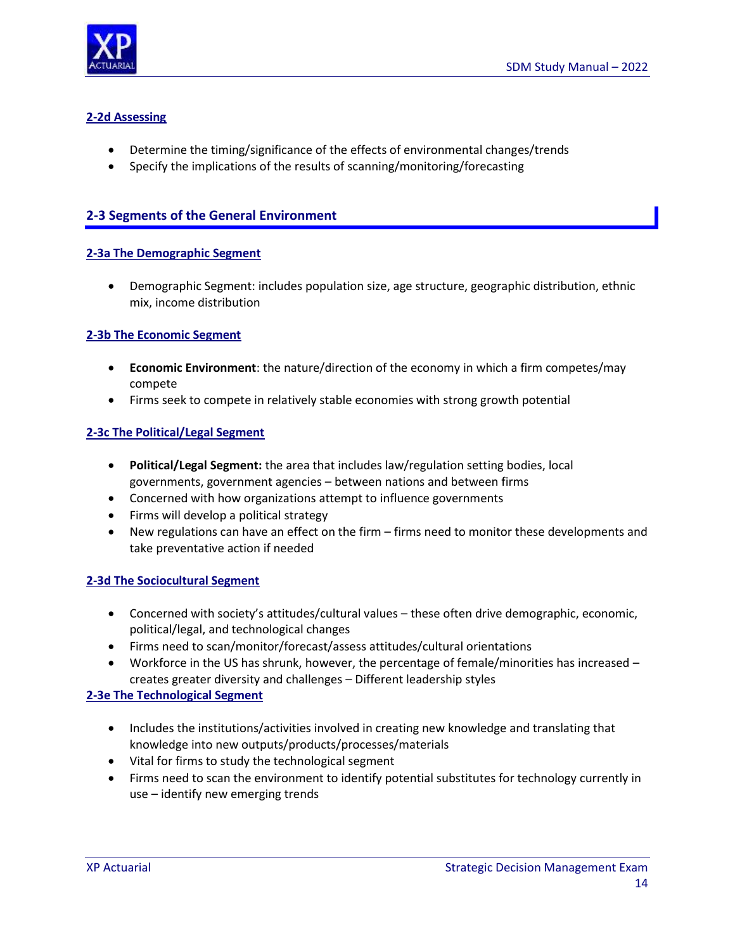



# **2-2d Assessing**

- Determine the timing/significance of the effects of environmental changes/trends
- Specify the implications of the results of scanning/monitoring/forecasting

# **2-3 Segments of the General Environment**

### **2-3a The Demographic Segment**

 Demographic Segment: includes population size, age structure, geographic distribution, ethnic mix, income distribution

### **2-3b The Economic Segment**

- **Economic Environment**: the nature/direction of the economy in which a firm competes/may compete
- Firms seek to compete in relatively stable economies with strong growth potential

### **2-3c The Political/Legal Segment**

- **Political/Legal Segment:** the area that includes law/regulation setting bodies, local governments, government agencies – between nations and between firms
- Concerned with how organizations attempt to influence governments
- Firms will develop a political strategy
- New regulations can have an effect on the firm firms need to monitor these developments and take preventative action if needed

### **2-3d The Sociocultural Segment**

- Concerned with society's attitudes/cultural values these often drive demographic, economic, political/legal, and technological changes
- Firms need to scan/monitor/forecast/assess attitudes/cultural orientations
- Workforce in the US has shrunk, however, the percentage of female/minorities has increased creates greater diversity and challenges – Different leadership styles

### **2-3e The Technological Segment**

- Includes the institutions/activities involved in creating new knowledge and translating that knowledge into new outputs/products/processes/materials
- Vital for firms to study the technological segment
- Firms need to scan the environment to identify potential substitutes for technology currently in use – identify new emerging trends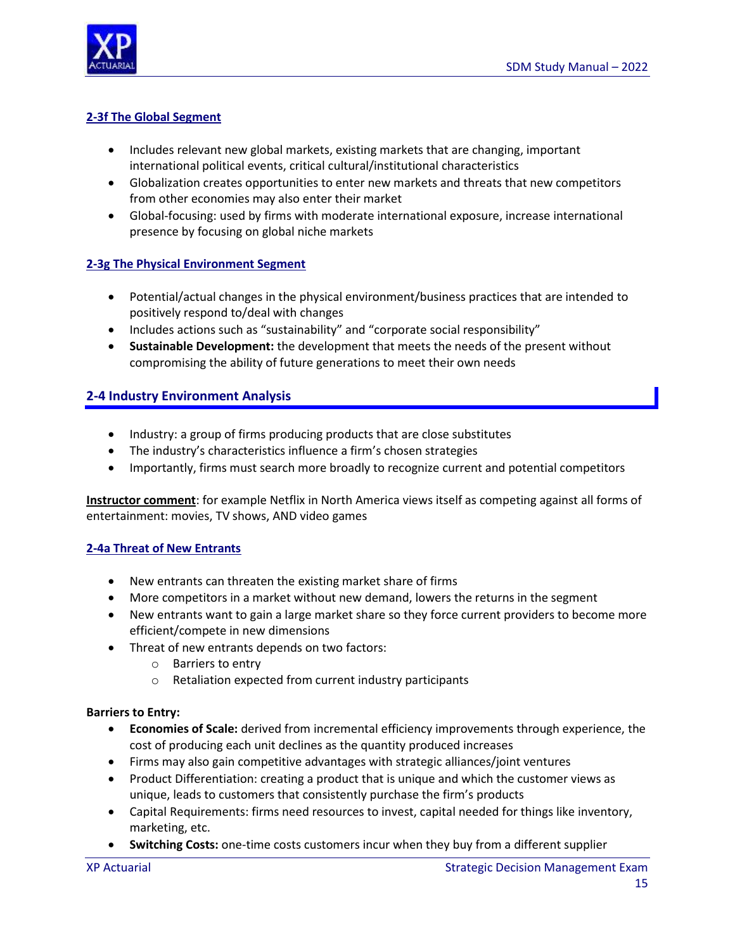



### **2-3f The Global Segment**

- Includes relevant new global markets, existing markets that are changing, important international political events, critical cultural/institutional characteristics
- Globalization creates opportunities to enter new markets and threats that new competitors from other economies may also enter their market
- Global-focusing: used by firms with moderate international exposure, increase international presence by focusing on global niche markets

### **2-3g The Physical Environment Segment**

- Potential/actual changes in the physical environment/business practices that are intended to positively respond to/deal with changes
- Includes actions such as "sustainability" and "corporate social responsibility"
- **Sustainable Development:** the development that meets the needs of the present without compromising the ability of future generations to meet their own needs

### **2-4 Industry Environment Analysis**

- Industry: a group of firms producing products that are close substitutes
- The industry's characteristics influence a firm's chosen strategies
- Importantly, firms must search more broadly to recognize current and potential competitors

**Instructor comment**: for example Netflix in North America views itself as competing against all forms of entertainment: movies, TV shows, AND video games

#### **2-4a Threat of New Entrants**

- New entrants can threaten the existing market share of firms
- More competitors in a market without new demand, lowers the returns in the segment
- New entrants want to gain a large market share so they force current providers to become more efficient/compete in new dimensions
- Threat of new entrants depends on two factors:
	- o Barriers to entry
	- o Retaliation expected from current industry participants

#### **Barriers to Entry:**

- **Economies of Scale:** derived from incremental efficiency improvements through experience, the cost of producing each unit declines as the quantity produced increases
- Firms may also gain competitive advantages with strategic alliances/joint ventures
- Product Differentiation: creating a product that is unique and which the customer views as unique, leads to customers that consistently purchase the firm's products
- Capital Requirements: firms need resources to invest, capital needed for things like inventory, marketing, etc.
- **Switching Costs:** one-time costs customers incur when they buy from a different supplier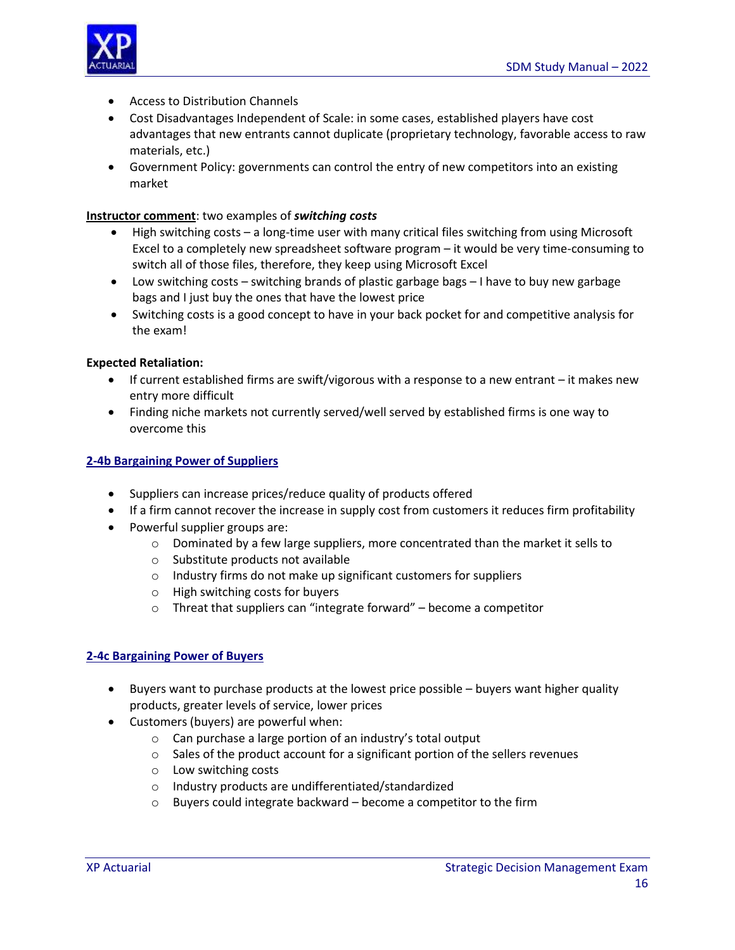

- Access to Distribution Channels
- Cost Disadvantages Independent of Scale: in some cases, established players have cost advantages that new entrants cannot duplicate (proprietary technology, favorable access to raw materials, etc.)
- Government Policy: governments can control the entry of new competitors into an existing market

#### **Instructor comment**: two examples of *switching costs*

- High switching costs a long-time user with many critical files switching from using Microsoft Excel to a completely new spreadsheet software program – it would be very time-consuming to switch all of those files, therefore, they keep using Microsoft Excel
- Low switching costs switching brands of plastic garbage bags I have to buy new garbage bags and I just buy the ones that have the lowest price
- Switching costs is a good concept to have in your back pocket for and competitive analysis for the exam!

#### **Expected Retaliation:**

- $\bullet$  If current established firms are swift/vigorous with a response to a new entrant it makes new entry more difficult
- Finding niche markets not currently served/well served by established firms is one way to overcome this

#### **2-4b Bargaining Power of Suppliers**

- Suppliers can increase prices/reduce quality of products offered
- If a firm cannot recover the increase in supply cost from customers it reduces firm profitability
- Powerful supplier groups are:
	- $\circ$  Dominated by a few large suppliers, more concentrated than the market it sells to
	- o Substitute products not available
	- o Industry firms do not make up significant customers for suppliers
	- o High switching costs for buyers
	- o Threat that suppliers can "integrate forward" become a competitor

#### **2-4c Bargaining Power of Buyers**

- Buyers want to purchase products at the lowest price possible buyers want higher quality products, greater levels of service, lower prices
- Customers (buyers) are powerful when:
	- o Can purchase a large portion of an industry's total output
	- o Sales of the product account for a significant portion of the sellers revenues
	- o Low switching costs
	- o Industry products are undifferentiated/standardized
	- o Buyers could integrate backward become a competitor to the firm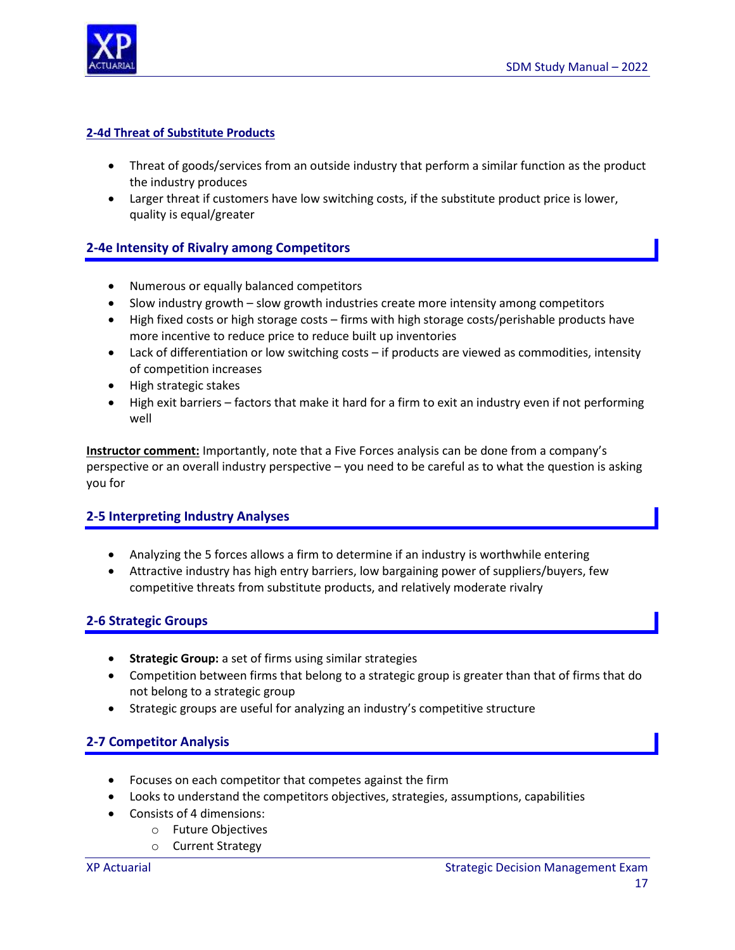

#### **2-4d Threat of Substitute Products**

- Threat of goods/services from an outside industry that perform a similar function as the product the industry produces
- Larger threat if customers have low switching costs, if the substitute product price is lower, quality is equal/greater

# **2-4e Intensity of Rivalry among Competitors**

- Numerous or equally balanced competitors
- Slow industry growth slow growth industries create more intensity among competitors
- High fixed costs or high storage costs firms with high storage costs/perishable products have more incentive to reduce price to reduce built up inventories
- Lack of differentiation or low switching costs if products are viewed as commodities, intensity of competition increases
- High strategic stakes
- High exit barriers factors that make it hard for a firm to exit an industry even if not performing well

**Instructor comment:** Importantly, note that a Five Forces analysis can be done from a company's perspective or an overall industry perspective – you need to be careful as to what the question is asking you for

### **2-5 Interpreting Industry Analyses**

- Analyzing the 5 forces allows a firm to determine if an industry is worthwhile entering
- Attractive industry has high entry barriers, low bargaining power of suppliers/buyers, few competitive threats from substitute products, and relatively moderate rivalry

### **2-6 Strategic Groups**

- **Strategic Group:** a set of firms using similar strategies
- Competition between firms that belong to a strategic group is greater than that of firms that do not belong to a strategic group
- Strategic groups are useful for analyzing an industry's competitive structure

# **2-7 Competitor Analysis**

- Focuses on each competitor that competes against the firm
- Looks to understand the competitors objectives, strategies, assumptions, capabilities
- Consists of 4 dimensions:
	- o Future Objectives
	- o Current Strategy